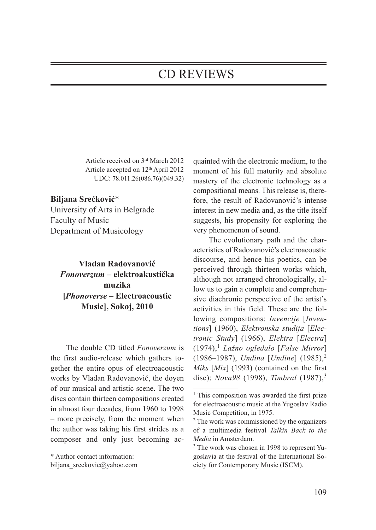## CD REVIEWS

Article received on 3rd March 2012 Article accepted on 12<sup>th</sup> April 2012 UDC: 78.011.26(086.76)(049.32)

## **Biljana Srećković**\*

University of Arts in Belgrade Faculty of Music Department of Musicology

## **Vladan Radovanović** *Fonoverzum* **– elektroakustička muzika [***Phonoverse* **– Electroacoustic Music], Sokoj, 2010**

The double CD titled *Fonoverzum* is the first audio-release which gathers together the entire opus of electroacoustic works by Vladan Radovanović, the doyen of our musical and artistic scene. The two discs contain thirteen compositions created in almost four decades, from 1960 to 1998 – more precisely, from the moment when the author was taking his first strides as a composer and only just becoming acquainted with the electronic medium, to the moment of his full maturity and absolute mastery of the electronic technology as a compositional means. This release is, therefore, the result of Radovanović's intense interest in new media and, as the title itself suggests, his propensity for exploring the very phenomenon of sound.

The evolutionary path and the characteristics of Radovanović's electroacoustic discourse, and hence his poetics, can be perceived through thirteen works which, although not arranged chronologically, allow us to gain a complete and comprehensive diachronic perspective of the artist's activities in this field. These are the following compositions: *Invencije* [*Inventions*] (1960), *Elektronska studija* [*Electronic Study*] (1966), *Elektra* [*Electra*] (1974),<sup>1</sup> *Lažno ogledalo* [*False Mirror*] (1986–1987), *Undina* [*Undine*] (1985),<sup>2</sup> *Miks* [*Mix*] (1993) (contained on the first disc); *Nova98* (1998), *Timbral* (1987),<sup>3</sup>

<sup>\*</sup> Author contact information:

biljana sreckovic@yahoo.com

<sup>&</sup>lt;sup>1</sup> This composition was awarded the first prize for electroacoustic music at the Yugoslav Radio Music Competition, in 1975.

<sup>2</sup> The work was commissioned by the organizers of a multimedia festival *Talkin Back to the Media* in Amsterdam.

<sup>3</sup> The work was chosen in 1998 to represent Yugoslavia at the festival of the International Society for Contemporary Music (ISCM).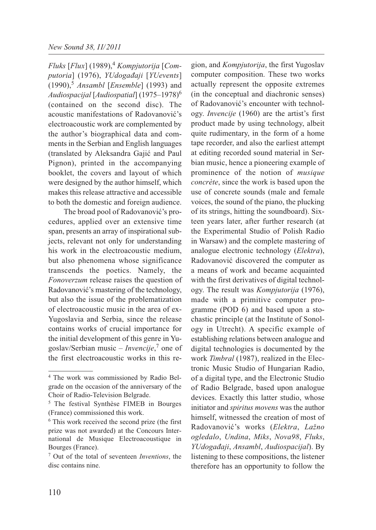*Fluks* [*Flux*] (1989),<sup>4</sup> *Kompjutorija* [*Computoria*] (1976), *YUdogađaji* [*YUevents*] (1990),<sup>5</sup> *Ansambl* [*Ensemble*] (1993) and *Audiospacijal* [*Audiospatial*] (1975–1978)6 (contained on the second disc). The acoustic manifestations of Radovanović's electroacoustic work are complemented by the author's biographical data and comments in the Serbian and English languages (translated by Aleksandra Gajić and Paul Pignon), printed in the accompanying booklet, the covers and layout of which were designed by the author himself, which makes this release attractive and accessible to both the domestic and foreign audience.

The broad pool of Radovanović's procedures, applied over an extensive time span, presents an array of inspirational subjects, relevant not only for understanding his work in the electroacoustic medium, but also phenomena whose significance transcends the poetics. Namely, the *Fonoverzum* release raises the question of Radovanović's mastering of the technology, but also the issue of the problematization of electroacoustic music in the area of ex-Yugoslavia and Serbia, since the release contains works of crucial importance for the initial development of this genre in Yugoslav/Serbian music – *Invencije*, <sup>7</sup> one of the first electroacoustic works in this region, and *Kompjutorija*, the first Yugoslav computer composition. These two works actually represent the opposite extremes (in the conceptual and diachronic senses) of Radovanović's encounter with technology. *Invencije* (1960) are the artist's first product made by using technology, albeit quite rudimentary, in the form of a home tape recorder, and also the earliest attempt at editing recorded sound material in Serbian music, hence a pioneering example of prominence of the notion of *musique concrète*, since the work is based upon the use of concrete sounds (male and female voices, the sound of the piano, the plucking of its strings, hitting the soundboard). Sixteen years later, after further research (at the Experimental Studio of Polish Radio in Warsaw) and the complete mastering of analogue electronic technology (*Elektra*), Radovanović discovered the computer as a means of work and became acquainted with the first derivatives of digital technology. The result was *Kompjutorija* (1976), made with a primitive computer programme (POD 6) and based upon a stochastic principle (at the Institute of Sonology in Utrecht). A specific example of establishing relations between analogue and digital technologies is documented by the work *Timbral* (1987), realized in the Electronic Music Studio of Hungarian Radio, of a digital type, and the Electronic Studio of Radio Belgrade, based upon analogue devices. Exactly this latter studio, whose initiator and *spiritus movens* was the author himself, witnessed the creation of most of Radovanović's works (*Elektra*, *Lažno ogledalo*, *Undina*, *Miks*, *Nova98*, *Fluks*, *YUdogađaji*, *Ansambl*, *Audiospacijal*). By listening to these compositions, the listener therefore has an opportunity to follow the

<sup>4</sup> The work was commissioned by Radio Belgrade on the occasion of the anniversary of the Choir of Radio-Television Belgrade.

<sup>5</sup> The festival Synthèse FIMEB in Bourges (France) commissioned this work.

<sup>6</sup> This work received the second prize (the first prize was not awarded) at the Concours International de Musique Electroacoustique in Bourges (France).

<sup>7</sup> Out of the total of seventeen *Inventions*, the disc contains nine.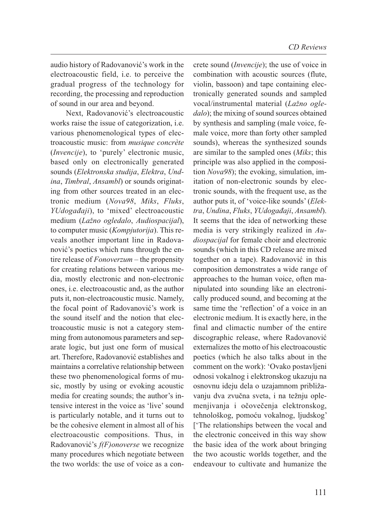audio history of Radovanović's work in the electroacoustic field, i.e. to perceive the gradual progress of the technology for recording, the processing and reproduction of sound in our area and beyond.

Next, Radovanović's electroacoustic works raise the issue of categorization, i.e. various phenomenological types of electroacoustic music: from *musique concrète* (*Invencije*), to 'purely' electronic music, based only on electronically generated sounds (*Elektronska studija*, *Elektra*, *Undina*, *Timbral*, *Ansambl*) or sounds originating from other sources treated in an electronic medium (*Nova98*, *Miks*, *Fluks*, *YUdogađaji*), to 'mixed' electroacoustic medium (*Lažno ogledalo*, *Audiospacijal*), to computer music (*Kompjutorija*). This reveals another important line in Radovanović's poetics which runs through the entire release of *Fonoverzum* – the propensity for creating relations between various media, mostly electronic and non-electronic ones, i.e. electroacoustic and, as the author puts it, non-electroacoustic music. Namely, the focal point of Radovanović's work is the sound itself and the notion that electroacoustic music is not a category stemming from autonomous parameters and separate logic, but just one form of musical art. Therefore, Radovanović establishes and maintains a correlative relationship between these two phenomenological forms of music, mostly by using or evoking acoustic media for creating sounds; the author's intensive interest in the voice as 'live' sound is particularly notable, and it turns out to be the cohesive element in almost all of his electroacoustic compositions. Thus, in Radovanović's *f(F)onoverse* we recognize many procedures which negotiate between the two worlds: the use of voice as a concrete sound (*Invencije*); the use of voice in combination with acoustic sources (flute, violin, bassoon) and tape containing electronically generated sounds and sampled vocal/instrumental material (*Lažno ogle dalo*); the mixing of sound sources obtained by synthesis and sampling (male voice, female voice, more than forty other sampled sounds), whereas the synthesized sounds are similar to the sampled ones (*Miks*; this principle was also applied in the composition *Nova98*); the evoking, simulation, imitation of non-electronic sounds by electronic sounds, with the frequent use, as the author puts it, of 'voice-like sounds' (*Elektra*, *Undina*, *Fluks*, *YUdogađaji*, *Ansambl*). It seems that the idea of networking these media is very strikingly realized in *Audiospacijal* for female choir and electronic sounds (which in this CD release are mixed together on a tape). Radovanović in this composition demonstrates a wide range of approaches to the human voice, often manipulated into sounding like an electronically produced sound, and becoming at the same time the 'reflection' of a voice in an electronic medium. It is exactly here, in the final and climactic number of the entire discographic release, where Radovanović externalizes the motto of his electroacoustic poetics (which he also talks about in the comment on the work): 'Ovako postavljeni odnosi vokalnog i elektronskog ukazuju na osnovnu ideju dela o uzajamnom približavanju dva zvučna sveta, i na težnju oplemenjivanja i očovečenja elektronskog, tehnološkog, pomoću vokalnog, ljudskog' ['The relationships between the vocal and the electronic conceived in this way show the basic idea of the work about bringing the two acoustic worlds together, and the endeavour to cultivate and humanize the